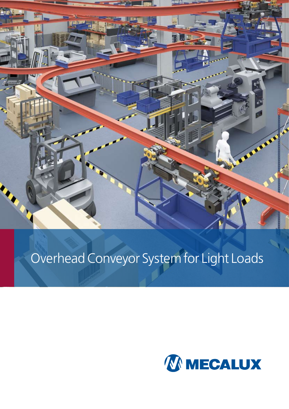

# Overhead Conveyor System for Light Loads

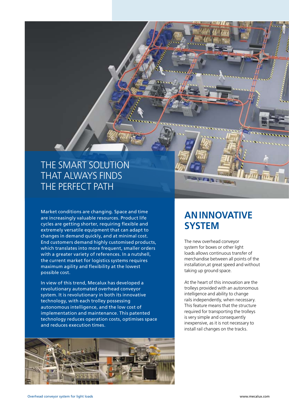### THE SMART SOLUTION THAT ALWAYS FINDS THE PERFECT PATH

Market conditions are changing. Space and time are increasingly valuable resources. Product life cycles are getting shorter, requiring flexible and extremely versatile equipment that can adapt to changes in demand quickly, and at minimal cost. End customers demand highly customised products, which translates into more frequent, smaller orders with a greater variety of references. In a nutshell, the current market for logistics systems requires maximum agility and flexibility at the lowest possible cost.

In view of this trend, Mecalux has developed a revolutionary automated overhead conveyor system. It is revolutionary in both its innovative technology, with each trolley possessing autonomous intelligence, and the low cost of implementation and maintenance. This patented technology reduces operation costs, optimises space and reduces execution times.



### **AN INNOVATIVE SYSTEM**

The new overhead conveyor system for boxes or other light loads allows continuous transfer of merchandise between all points of the installation,at great speed and without taking up ground space.

At the heart of this innovation are the trolleys provided with an autonomous intelligence and ability to change rails independently, when necessary. This feature means that the structure required for transporting the trolleys is very simple and consequently inexpensive, as it is not necessary to install rail changes on the tracks.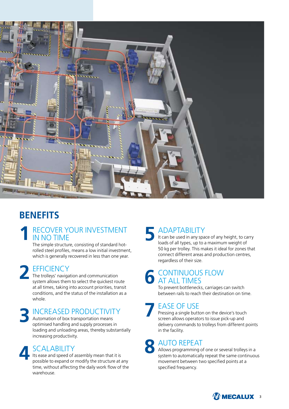

### **BENEFITS**

#### RECOVER YOUR INVESTMENT IN NO TIME **1**

The simple structure, consisting of standard hotrolled steel profiles, means a low initial investment, which is generally recovered in less than one year.

### **EFFICIENCY 2**

The trolleys' navigation and communication system allows them to select the quickest route at all times, taking into account priorities, transit conditions, and the status of the installation as a whole.

### INCREASED PRODUCTIVITY **3**

Automation of box transportation means optimised handling and supply processes in loading and unloading areas, thereby substantially increasing productivity.



### **SCALABILITY**

Its ease and speed of assembly mean that it is possible to expand or modify the structure at any time, without affecting the daily work flow of the warehouse.

### ADAPTABILITY **5**

It can be used in any space of any height, to carry loads of all types, up to a maximum weight of 50 kg per trolley. This makes it ideal for zones that connect different areas and production centres, regardless of their size.

#### CONTINUOUS FLOW AT ALL TIMES **6**

To prevent bottlenecks, carriages can switch between rails to reach their destination on time.

### EASE OF USE **7**

Pressing a single button on the device's touch screen allows operators to issue pick-up and delivery commands to trolleys from different points in the facility.



**8** AUTO R<br>system to au Allows programming of one or several trolleys in a system to automatically repeat the same continuous movement between two specified points at a specified frequency.

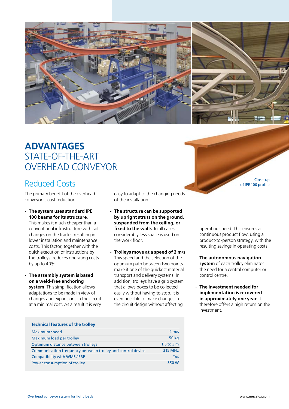

### **ADVANTAGES** STATE-OF-THE-ART overhead conveyor

### Reduced Costs Close-up Close-up Close-up Close-up Close-up

The primary benefit of the overhead conveyor is cost reduction:

- **The system uses standard IPE 100 beams for its structure**.

This makes it much cheaper than a conventional infrastructure with rail changes on the tracks, resulting in lower installation and maintenance costs. This factor, together with the quick execution of instructions by the trolleys, reduces operating costs by up to 40%.

- **The assembly system is based on a weld-free anchoring** 

**system**. This simplification allows adaptations to be made in view of changes and expansions in the circuit at a minimal cost. As a result it is very

easy to adapt to the changing needs of the installation.

- **The structure can be supported by upright struts on the ground, suspended from the ceiling, or fixed to the walls**. In all cases, considerably less space is used on the work floor.
- **Trolleys move at a speed of 2 m/s**. This speed and the selection of the optimum path between two points make it one of the quickest material transport and delivery systems. In addition, trolleys have a grip system that allows boxes to be collected easily without having to stop. It is even possible to make changes in the circuit design without affecting

of IPE 100 profile

operating speed. This ensures a continuous product flow, using a product-to-person strategy, with the resulting savings in operating costs.

- **The autonomous navigation system** of each trolley eliminates the need for a central computer or control centre.
- **The investment needed for implementation is recovered in approximately one year**. It therefore offers a high return on the investment.

| <b>Technical features of the trolley</b>                   |                   |
|------------------------------------------------------------|-------------------|
| <b>Maximum speed</b>                                       | $2 \, \text{m/s}$ |
| Maximum load per trolley                                   | <b>50 kg</b>      |
| Optimum distance between trolleys                          | $1.5$ to $3m$     |
| Communication frequency between trolley and control device | 315 MHz           |
| Compatibility with WMS / ERP                               | Yes               |
| Power consumption of trolley                               | 350 W             |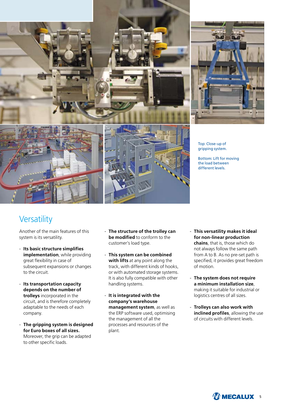



Top: Close-up of gripping system.

Bottom: Lift for moving the load between different levels.

### **Versatility**

Another of the main features of this system is its versatility.

- **Its basic structure simplifies implementation**, while providing great flexibility in case of subsequent expansions or changes to the circuit.
- **Its transportation capacity depends on the number of trolleys** incorporated in the circuit, and is therefore completely adaptable to the needs of each company.
- **The gripping system is designed for Euro boxes of all sizes.** Moreover, the grip can be adapted to other specific loads.
- **The structure of the trolley can be modified** to conform to the customer's load type.
- **This system can be combined with lifts** at any point along the track, with different kinds of hooks, or with automated storage systems. It is also fully compatible with other handling systems.
- **It is integrated with the company's warehouse management system**, as well as the ERP software used, optimising the management of all the processes and resources of the plant.
- **This versatility makes it ideal for non-linear production chains**, that is, those which do not always follow the same path from A to B. As no pre-set path is specified, it provides great freedom of motion.
- **The system does not require a minimum installation size**, making it suitable for industrial or logistics centres of all sizes.
- **Trolleys can also work with inclined profiles**, allowing the use of circuits with different levels.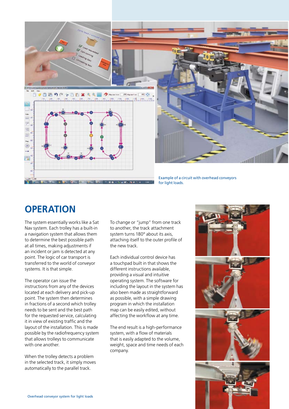

### **OPERATION**

The system essentially works like a Sat Nav system. Each trolley has a built-in a navigation system that allows them to determine the best possible path at all times, making adjustments if an incident or jam is detected at any point. The logic of car transport is transferred to the world of conveyor systems. It is that simple.

The operator can issue the instructions from any of the devices located at each delivery and pick-up point. The system then determines in fractions of a second which trolley needs to be sent and the best path for the requested service, calculating it in view of existing traffic and the layout of the installation. This is made possible by the radiofrequency system that allows trolleys to communicate with one another.

When the trolley detects a problem in the selected track, it simply moves automatically to the parallel track.

To change or "jump" from one track to another, the track attachment system turns 180º about its axis, attaching itself to the outer profile of the new track.

Each individual control device has a touchpad built in that shows the different instructions available, providing a visual and intuitive operating system. The software for including the layout in the system has also been made as straightforward as possible, with a simple drawing program in which the installation map can be easily edited, without affecting the workflow at any time.

The end result is a high-performance system, with a flow of materials that is easily adapted to the volume, weight, space and time needs of each company.

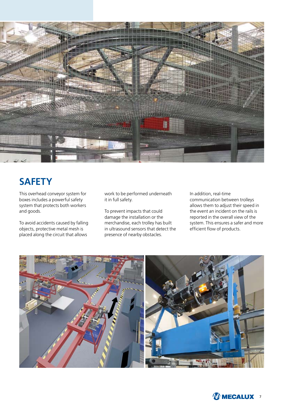

### **SAFETY**

This overhead conveyor system for boxes includes a powerful safety system that protects both workers and goods.

To avoid accidents caused by falling objects, protective metal mesh is placed along the circuit that allows

work to be performed underneath it in full safety.

To prevent impacts that could damage the installation or the merchandise, each trolley has built in ultrasound sensors that detect the presence of nearby obstacles.

In addition, real-time communication between trolleys allows them to adjust their speed in the event an incident on the rails is reported in the overall view of the system. This ensures a safer and more efficient flow of products.